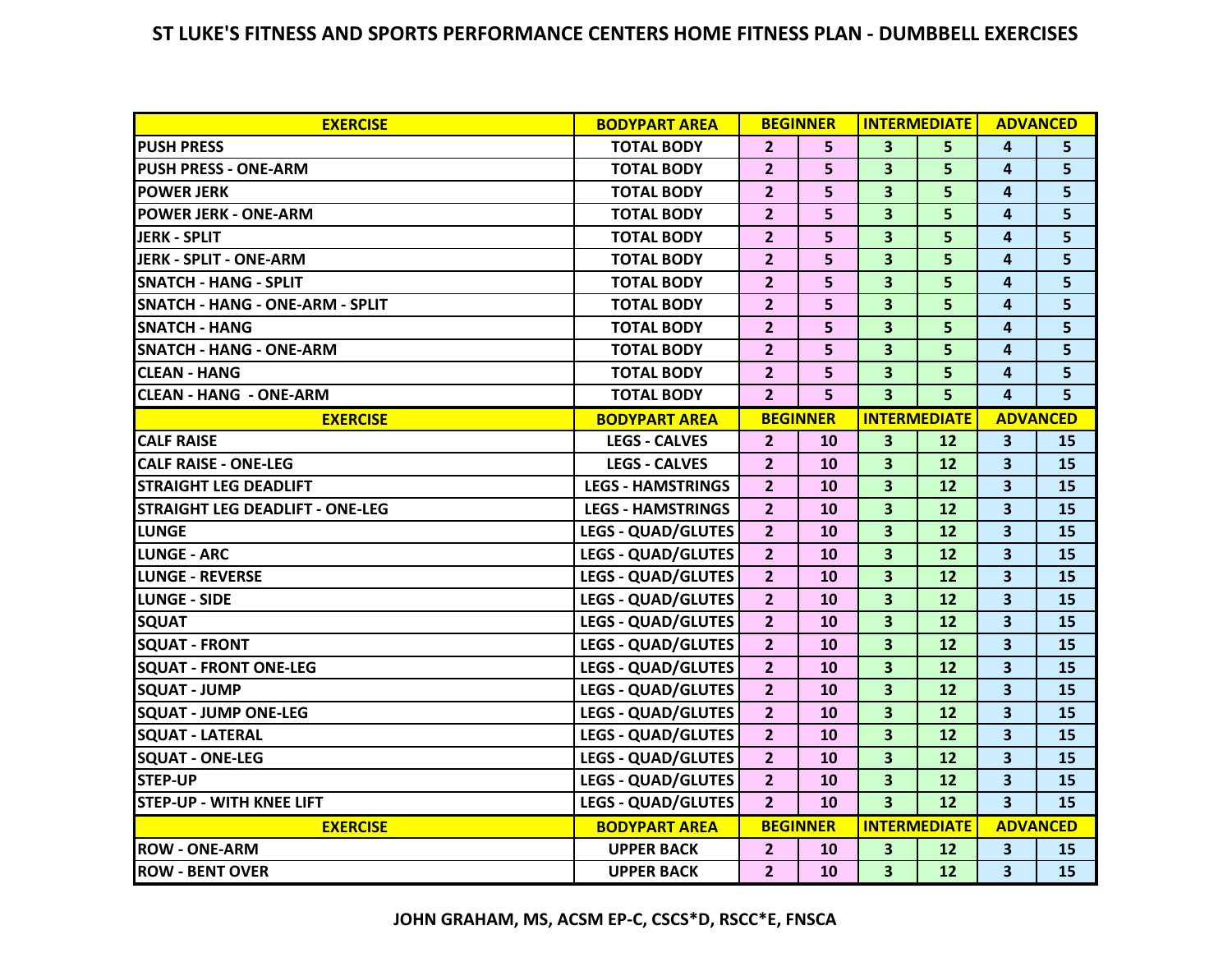## **ST LUKE'S FITNESS AND SPORTS PERFORMANCE CENTERS HOME FITNESS PLAN - DUMBBELL EXERCISES**

| <b>EXERCISE</b>                        | <b>BODYPART AREA</b>      |                 | <b>BEGINNER</b> | <b>INTERMEDIATE</b>     |    | <b>ADVANCED</b>         |                |
|----------------------------------------|---------------------------|-----------------|-----------------|-------------------------|----|-------------------------|----------------|
| <b>PUSH PRESS</b>                      | <b>TOTAL BODY</b>         | 2 <sup>1</sup>  | 5               | 3 <sup>1</sup>          | 5  | $\overline{a}$          | 5              |
| <b>PUSH PRESS - ONE-ARM</b>            | <b>TOTAL BODY</b>         | 2 <sup>2</sup>  | 5               | 3                       | 5  | 4                       | 5              |
| <b>POWER JERK</b>                      | <b>TOTAL BODY</b>         | $\overline{2}$  | 5               | $\overline{\mathbf{3}}$ | 5  | 4                       | 5              |
| <b>POWER JERK - ONE-ARM</b>            | <b>TOTAL BODY</b>         | $\overline{2}$  | 5               | 3                       | 5  | 4                       | 5              |
| JERK - SPLIT                           | <b>TOTAL BODY</b>         | $\overline{2}$  | 5               | $\overline{\mathbf{3}}$ | 5  | 4                       | 5              |
| <b>JERK - SPLIT - ONE-ARM</b>          | <b>TOTAL BODY</b>         | $\overline{2}$  | 5               | $\overline{\mathbf{3}}$ | 5  | 4                       | 5              |
| <b>SNATCH - HANG - SPLIT</b>           | <b>TOTAL BODY</b>         | $\overline{2}$  | 5               | 3                       | 5  | 4                       | 5              |
| <b>SNATCH - HANG - ONE-ARM - SPLIT</b> | <b>TOTAL BODY</b>         | $\overline{2}$  | 5.              | $\overline{\mathbf{3}}$ | 5  | $\overline{a}$          | 5              |
| <b>SNATCH - HANG</b>                   | <b>TOTAL BODY</b>         | $\overline{2}$  | 5               | $\overline{\mathbf{3}}$ | 5  | 4                       | 5              |
| <b>SNATCH - HANG - ONE-ARM</b>         | <b>TOTAL BODY</b>         | $\overline{2}$  | 5               | $\overline{\mathbf{3}}$ | 5  | 4                       | 5              |
| <b>CLEAN - HANG</b>                    | <b>TOTAL BODY</b>         | $\overline{2}$  | 5               | 3                       | 5  | 4                       | 5              |
| <b>CLEAN - HANG - ONE-ARM</b>          | <b>TOTAL BODY</b>         | $\overline{2}$  | 5               | $\overline{\mathbf{3}}$ | 5  | $\overline{a}$          | 5 <sup>1</sup> |
| <b>EXERCISE</b>                        | <b>BODYPART AREA</b>      | <b>BEGINNER</b> |                 | <b>INTERMEDIATE</b>     |    | <b>ADVANCED</b>         |                |
| <b>CALF RAISE</b>                      | <b>LEGS - CALVES</b>      | $\overline{2}$  | 10              | 3                       | 12 | $\overline{\mathbf{3}}$ | 15             |
| <b>CALF RAISE - ONE-LEG</b>            | <b>LEGS - CALVES</b>      | $\overline{2}$  | <b>10</b>       | 3                       | 12 | 3                       | 15             |
| <b>STRAIGHT LEG DEADLIFT</b>           | <b>LEGS - HAMSTRINGS</b>  | $\overline{2}$  | 10              | $\overline{\mathbf{3}}$ | 12 | 3                       | 15             |
| <b>STRAIGHT LEG DEADLIFT - ONE-LEG</b> | <b>LEGS - HAMSTRINGS</b>  | $\overline{2}$  | 10              | $\overline{\mathbf{3}}$ | 12 | $\overline{\mathbf{3}}$ | 15             |
| <b>LUNGE</b>                           | <b>LEGS - QUAD/GLUTES</b> | $\overline{2}$  | 10              | $\overline{\mathbf{3}}$ | 12 | $\overline{\mathbf{3}}$ | 15             |
| <b>LUNGE - ARC</b>                     | <b>LEGS - QUAD/GLUTES</b> | $\overline{2}$  | 10              | 3                       | 12 | 3                       | 15             |
| <b>LUNGE - REVERSE</b>                 | <b>LEGS - QUAD/GLUTES</b> | $\overline{2}$  | 10              | $\overline{\mathbf{3}}$ | 12 | $\overline{\mathbf{3}}$ | 15             |
| <b>LUNGE - SIDE</b>                    | <b>LEGS - QUAD/GLUTES</b> | $\overline{2}$  | <b>10</b>       | 3                       | 12 | 3                       | 15             |
| <b>SQUAT</b>                           | <b>LEGS - QUAD/GLUTES</b> | $\overline{2}$  | 10              | 3                       | 12 | $\overline{\mathbf{3}}$ | 15             |
| <b>SQUAT - FRONT</b>                   | <b>LEGS - QUAD/GLUTES</b> | $\overline{2}$  | 10              | $\overline{\mathbf{3}}$ | 12 | $\overline{\mathbf{3}}$ | 15             |
| <b>SQUAT - FRONT ONE-LEG</b>           | <b>LEGS - QUAD/GLUTES</b> | $\overline{2}$  | <b>10</b>       | $\overline{\mathbf{3}}$ | 12 | 3                       | 15             |
| <b>SQUAT - JUMP</b>                    | <b>LEGS - QUAD/GLUTES</b> | 2 <sup>2</sup>  | <b>10</b>       | 3                       | 12 | 3                       | 15             |
| <b>SQUAT - JUMP ONE-LEG</b>            | <b>LEGS - QUAD/GLUTES</b> | 2 <sup>2</sup>  | 10              | 3                       | 12 | 3                       | 15             |
| <b>SQUAT - LATERAL</b>                 | <b>LEGS - QUAD/GLUTES</b> | $\overline{2}$  | <b>10</b>       | $\overline{\mathbf{3}}$ | 12 | 3                       | 15             |
| <b>SQUAT - ONE-LEG</b>                 | <b>LEGS - QUAD/GLUTES</b> | $\overline{2}$  | <b>10</b>       | 3                       | 12 | 3                       | 15             |
| <b>STEP-UP</b>                         | <b>LEGS - QUAD/GLUTES</b> | $\overline{2}$  | 10              | 3                       | 12 | $\overline{\mathbf{3}}$ | 15             |
| <b>STEP-UP - WITH KNEE LIFT</b>        | <b>LEGS - QUAD/GLUTES</b> | $\overline{2}$  | 10              | $\overline{\mathbf{3}}$ | 12 | $\overline{\mathbf{3}}$ | 15             |
| <b>EXERCISE</b>                        | <b>BODYPART AREA</b>      | <b>BEGINNER</b> |                 | <b>INTERMEDIATE</b>     |    | <b>ADVANCED</b>         |                |
| <b>ROW - ONE-ARM</b>                   | <b>UPPER BACK</b>         | $\overline{2}$  | <b>10</b>       | 3                       | 12 | 3                       | 15             |
| <b>ROW - BENT OVER</b>                 | <b>UPPER BACK</b>         | 2 <sup>1</sup>  | <b>10</b>       | 3 <sup>1</sup>          | 12 | $\overline{\mathbf{3}}$ | 15             |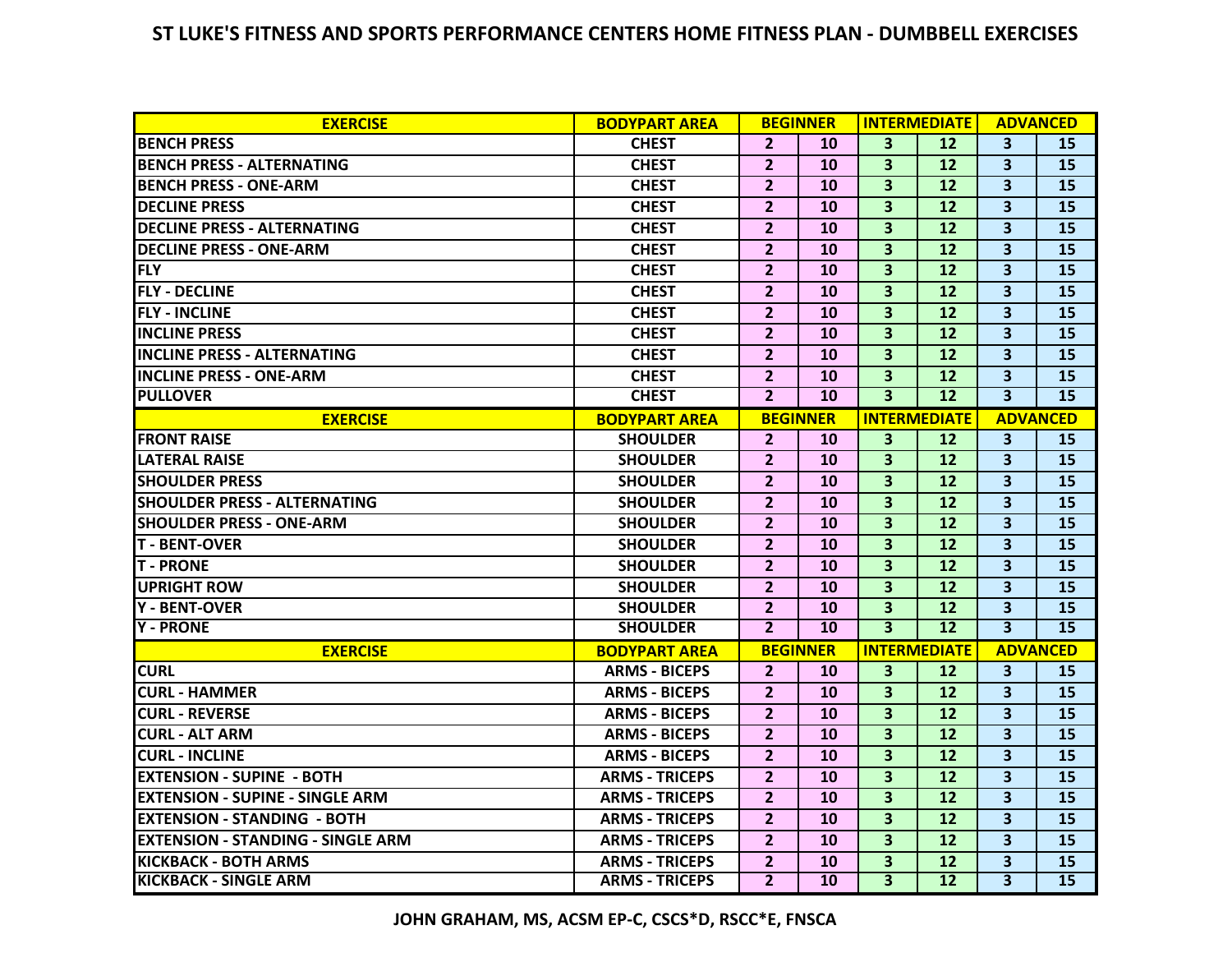## **ST LUKE'S FITNESS AND SPORTS PERFORMANCE CENTERS HOME FITNESS PLAN - DUMBBELL EXERCISES**

| <b>EXERCISE</b>                          | <b>BODYPART AREA</b>  | <b>BEGINNER</b> |                 | <b>INTERMEDIATE</b>     |    | <b>ADVANCED</b>         |                 |
|------------------------------------------|-----------------------|-----------------|-----------------|-------------------------|----|-------------------------|-----------------|
| <b>BENCH PRESS</b>                       | <b>CHEST</b>          | $\overline{2}$  | <b>10</b>       | $\overline{\mathbf{3}}$ | 12 | $\overline{\mathbf{3}}$ | 15              |
| <b>BENCH PRESS - ALTERNATING</b>         | <b>CHEST</b>          | $\overline{2}$  | 10              | $\overline{\mathbf{3}}$ | 12 | $\overline{\mathbf{3}}$ | 15              |
| <b>BENCH PRESS - ONE-ARM</b>             | <b>CHEST</b>          | $\overline{2}$  | 10              | $\overline{\mathbf{3}}$ | 12 | $\overline{\mathbf{3}}$ | 15              |
| <b>DECLINE PRESS</b>                     | <b>CHEST</b>          | $\overline{2}$  | 10              | $\overline{\mathbf{3}}$ | 12 | $\overline{\mathbf{3}}$ | 15              |
| <b>DECLINE PRESS - ALTERNATING</b>       | <b>CHEST</b>          | $\overline{2}$  | 10              | $\overline{\mathbf{3}}$ | 12 | $\overline{\mathbf{3}}$ | 15              |
| <b>DECLINE PRESS - ONE-ARM</b>           | <b>CHEST</b>          | $\overline{2}$  | 10              | $\overline{\mathbf{3}}$ | 12 | $\overline{\mathbf{3}}$ | 15              |
| <b>FLY</b>                               | <b>CHEST</b>          | $\overline{2}$  | 10              | $\overline{\mathbf{3}}$ | 12 | $\overline{\mathbf{3}}$ | 15              |
| <b>FLY - DECLINE</b>                     | <b>CHEST</b>          | $\overline{2}$  | 10              | $\overline{\mathbf{3}}$ | 12 | $\overline{\mathbf{3}}$ | 15              |
| <b>FLY - INCLINE</b>                     | <b>CHEST</b>          | $\overline{2}$  | 10              | $\overline{\mathbf{3}}$ | 12 | $\overline{\mathbf{3}}$ | 15              |
| <b>INCLINE PRESS</b>                     | <b>CHEST</b>          | $\overline{2}$  | 10              | $\overline{\mathbf{3}}$ | 12 | $\overline{\mathbf{3}}$ | 15              |
| <b>INCLINE PRESS - ALTERNATING</b>       | <b>CHEST</b>          | $\overline{2}$  | 10              | $\overline{\mathbf{3}}$ | 12 | $\overline{\mathbf{3}}$ | 15              |
| <b>INCLINE PRESS - ONE-ARM</b>           | <b>CHEST</b>          | $\overline{2}$  | 10              | $\overline{\mathbf{3}}$ | 12 | $\overline{\mathbf{3}}$ | 15              |
| <b>PULLOVER</b>                          | <b>CHEST</b>          | $\overline{2}$  | 10              | $\overline{\mathbf{3}}$ | 12 | $\overline{\mathbf{3}}$ | 15              |
| <b>EXERCISE</b>                          | <b>BODYPART AREA</b>  |                 | <b>BEGINNER</b> | <b>INTERMEDIATE</b>     |    | <b>ADVANCED</b>         |                 |
| <b>FRONT RAISE</b>                       | <b>SHOULDER</b>       | $\overline{2}$  | 10              | $\overline{\mathbf{3}}$ | 12 | $\overline{\mathbf{3}}$ | 15              |
| <b>LATERAL RAISE</b>                     | <b>SHOULDER</b>       | $\overline{2}$  | 10              | $\overline{\mathbf{3}}$ | 12 | $\overline{\mathbf{3}}$ | 15              |
| <b>SHOULDER PRESS</b>                    | <b>SHOULDER</b>       | $\overline{2}$  | 10              | $\overline{\mathbf{3}}$ | 12 | $\overline{\mathbf{3}}$ | 15              |
| <b>SHOULDER PRESS - ALTERNATING</b>      | <b>SHOULDER</b>       | $\overline{2}$  | 10              | $\overline{\mathbf{3}}$ | 12 | $\overline{\mathbf{3}}$ | 15              |
| <b>SHOULDER PRESS - ONE-ARM</b>          | <b>SHOULDER</b>       | $\overline{2}$  | 10              | $\overline{\mathbf{3}}$ | 12 | $\overline{\mathbf{3}}$ | 15              |
| <b>T-BENT-OVER</b>                       | <b>SHOULDER</b>       | $\overline{2}$  | 10              | $\overline{\mathbf{3}}$ | 12 | $\overline{\mathbf{3}}$ | 15              |
| <b>T-PRONE</b>                           | <b>SHOULDER</b>       | $\overline{2}$  | 10              | $\overline{\mathbf{3}}$ | 12 | $\overline{\mathbf{3}}$ | 15              |
| <b>UPRIGHT ROW</b>                       | <b>SHOULDER</b>       | $\overline{2}$  | 10              | $\overline{\mathbf{3}}$ | 12 | $\overline{\mathbf{3}}$ | 15              |
| <b>Y - BENT-OVER</b>                     | <b>SHOULDER</b>       | $\overline{2}$  | 10              | $\overline{\mathbf{3}}$ | 12 | $\overline{\mathbf{3}}$ | 15              |
| <b>Y - PRONE</b>                         | <b>SHOULDER</b>       | $\overline{2}$  | 10              | $\overline{\mathbf{3}}$ | 12 | $\overline{\mathbf{3}}$ | 15              |
| <b>EXERCISE</b>                          | <b>BODYPART AREA</b>  | <b>BEGINNER</b> |                 | <b>INTERMEDIATE</b>     |    | <b>ADVANCED</b>         |                 |
| <b>CURL</b>                              | <b>ARMS - BICEPS</b>  | $\overline{2}$  | <b>10</b>       | $\mathbf{3}$            | 12 | $\overline{\mathbf{3}}$ | 15              |
| <b>CURL - HAMMER</b>                     | <b>ARMS - BICEPS</b>  | $\overline{2}$  | 10              | $\overline{\mathbf{3}}$ | 12 | $\overline{\mathbf{3}}$ | 15              |
| <b>CURL - REVERSE</b>                    | <b>ARMS - BICEPS</b>  | $\overline{2}$  | 10              | $\overline{\mathbf{3}}$ | 12 | $\overline{\mathbf{3}}$ | 15              |
| <b>CURL - ALT ARM</b>                    | <b>ARMS - BICEPS</b>  | $\overline{2}$  | 10              | $\overline{\mathbf{3}}$ | 12 | $\overline{\mathbf{3}}$ | 15              |
| <b>CURL - INCLINE</b>                    | <b>ARMS - BICEPS</b>  | $\overline{2}$  | 10              | $\overline{\mathbf{3}}$ | 12 | $\overline{\mathbf{3}}$ | 15              |
| <b>EXTENSION - SUPINE - BOTH</b>         | <b>ARMS - TRICEPS</b> | $\overline{2}$  | 10              | $\overline{\mathbf{3}}$ | 12 | $\overline{\mathbf{3}}$ | 15              |
| <b>EXTENSION - SUPINE - SINGLE ARM</b>   | <b>ARMS - TRICEPS</b> | $\overline{2}$  | 10              | $\overline{\mathbf{3}}$ | 12 | $\overline{\mathbf{3}}$ | 15              |
| <b>EXTENSION - STANDING - BOTH</b>       | <b>ARMS - TRICEPS</b> | $\overline{2}$  | 10              | $\overline{\mathbf{3}}$ | 12 | $\overline{\mathbf{3}}$ | 15              |
| <b>EXTENSION - STANDING - SINGLE ARM</b> | <b>ARMS - TRICEPS</b> | $\overline{2}$  | 10              | $\overline{\mathbf{3}}$ | 12 | $\overline{\mathbf{3}}$ | 15              |
| <b>KICKBACK - BOTH ARMS</b>              | <b>ARMS - TRICEPS</b> | $\overline{2}$  | 10              | 3                       | 12 | $\overline{\mathbf{3}}$ | 15              |
| <b>KICKBACK - SINGLE ARM</b>             | <b>ARMS - TRICEPS</b> | $\overline{2}$  | 10              | $\overline{\mathbf{3}}$ | 12 | $\overline{\mathbf{3}}$ | $\overline{15}$ |

**JOHN GRAHAM, MS, ACSM EP-C, CSCS\*D, RSCC\*E, FNSCA**